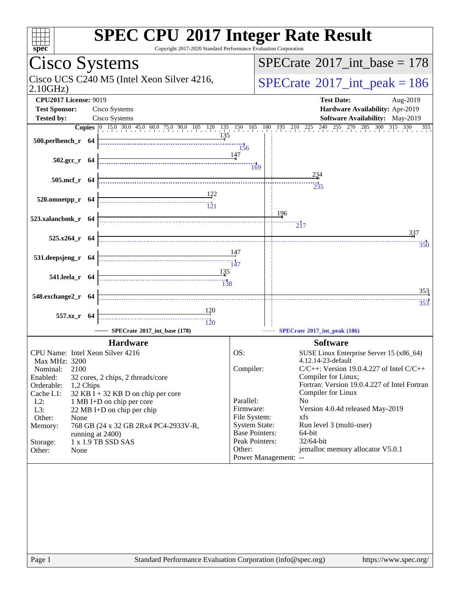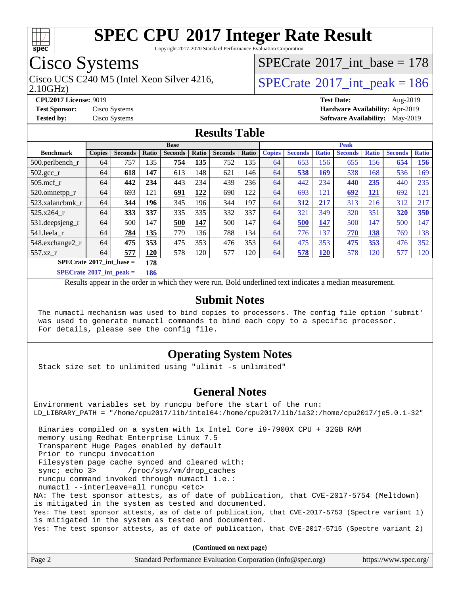

Copyright 2017-2020 Standard Performance Evaluation Corporation

# Cisco Systems

Cisco UCS C240 M5 (Intel Xeon Silver 4216,  $\vert$ [SPECrate](http://www.spec.org/auto/cpu2017/Docs/result-fields.html#SPECrate2017intpeak)®[2017\\_int\\_peak = 1](http://www.spec.org/auto/cpu2017/Docs/result-fields.html#SPECrate2017intpeak)86

 $SPECrate$ <sup>®</sup>[2017\\_int\\_base =](http://www.spec.org/auto/cpu2017/Docs/result-fields.html#SPECrate2017intbase) 178

2.10GHz)

**[CPU2017 License:](http://www.spec.org/auto/cpu2017/Docs/result-fields.html#CPU2017License)** 9019 **[Test Date:](http://www.spec.org/auto/cpu2017/Docs/result-fields.html#TestDate)** Aug-2019 **[Test Sponsor:](http://www.spec.org/auto/cpu2017/Docs/result-fields.html#TestSponsor)** Cisco Systems **[Hardware Availability:](http://www.spec.org/auto/cpu2017/Docs/result-fields.html#HardwareAvailability)** Apr-2019 **[Tested by:](http://www.spec.org/auto/cpu2017/Docs/result-fields.html#Testedby)** Cisco Systems **[Software Availability:](http://www.spec.org/auto/cpu2017/Docs/result-fields.html#SoftwareAvailability)** May-2019

#### **[Results Table](http://www.spec.org/auto/cpu2017/Docs/result-fields.html#ResultsTable)**

|                                                 | <b>Base</b>   |                |                 |                |       |                | <b>Peak</b> |               |                |              |                |              |                |              |
|-------------------------------------------------|---------------|----------------|-----------------|----------------|-------|----------------|-------------|---------------|----------------|--------------|----------------|--------------|----------------|--------------|
| <b>Benchmark</b>                                | <b>Copies</b> | <b>Seconds</b> | Ratio           | <b>Seconds</b> | Ratio | <b>Seconds</b> | Ratio       | <b>Copies</b> | <b>Seconds</b> | <b>Ratio</b> | <b>Seconds</b> | <b>Ratio</b> | <b>Seconds</b> | <b>Ratio</b> |
| 500.perlbench_r                                 | 64            | 757            | 135             | 754            | 135   | 752            | 135         | 64            | 653            | 156          | 655            | 156          | 654            | <u>156</u>   |
| $502.\text{gcc\_r}$                             | 64            | 618            | 147             | 613            | 148   | 621            | 146         | 64            | 538            | 169          | 538            | 168          | 536            | 169          |
| $505$ .mcf r                                    | 64            | 442            | 234             | 443            | 234   | 439            | 236         | 64            | 442            | 234          | 440            | 235          | 440            | 235          |
| 520.omnetpp_r                                   | 64            | 693            | 121             | 691            | 122   | 690            | 122         | 64            | 693            | 121          | 692            | <u>121</u>   | 692            | 121          |
| 523.xalancbmk_r                                 | 64            | 344            | 196             | 345            | 196   | 344            | 197         | 64            | 312            | 217          | 313            | 216          | 312            | 217          |
| 525.x264 r                                      | 64            | 333            | 337             | 335            | 335   | 332            | 337         | 64            | 321            | 349          | 320            | 351          | 320            | 350          |
| $531.$ deepsjeng $_r$                           | 64            | 500            | 147             | 500            | 147   | 500            | 147         | 64            | 500            | 147          | 500            | 147          | 500            | 147          |
| 541.leela r                                     | 64            | 784            | 135             | 779            | 136   | 788            | 134         | 64            | 776            | 137          | 770            | 138          | 769            | 138          |
| 548.exchange2_r                                 | 64            | 475            | 353             | 475            | 353   | 476            | 353         | 64            | 475            | 353          | 475            | 353          | 476            | 352          |
| 557.xz r                                        | 64            | 577            | 120             | 578            | 120   | 577            | 120         | 64            | 578            | <b>120</b>   | 578            | 120          | 577            | 120          |
| $SPECrate^{\circledcirc}2017$ int base =<br>178 |               |                |                 |                |       |                |             |               |                |              |                |              |                |              |
| $CDFC_{\text{mod}}\sqrt{2017}$ int nools $-$    |               |                | 10 <sub>6</sub> |                |       |                |             |               |                |              |                |              |                |              |

**[SPECrate](http://www.spec.org/auto/cpu2017/Docs/result-fields.html#SPECrate2017intpeak)[2017\\_int\\_peak =](http://www.spec.org/auto/cpu2017/Docs/result-fields.html#SPECrate2017intpeak) 186**

Results appear in the [order in which they were run](http://www.spec.org/auto/cpu2017/Docs/result-fields.html#RunOrder). Bold underlined text [indicates a median measurement](http://www.spec.org/auto/cpu2017/Docs/result-fields.html#Median).

#### **[Submit Notes](http://www.spec.org/auto/cpu2017/Docs/result-fields.html#SubmitNotes)**

 The numactl mechanism was used to bind copies to processors. The config file option 'submit' was used to generate numactl commands to bind each copy to a specific processor. For details, please see the config file.

#### **[Operating System Notes](http://www.spec.org/auto/cpu2017/Docs/result-fields.html#OperatingSystemNotes)**

Stack size set to unlimited using "ulimit -s unlimited"

#### **[General Notes](http://www.spec.org/auto/cpu2017/Docs/result-fields.html#GeneralNotes)**

Environment variables set by runcpu before the start of the run: LD\_LIBRARY\_PATH = "/home/cpu2017/lib/intel64:/home/cpu2017/lib/ia32:/home/cpu2017/je5.0.1-32" Binaries compiled on a system with 1x Intel Core i9-7900X CPU + 32GB RAM memory using Redhat Enterprise Linux 7.5 Transparent Huge Pages enabled by default Prior to runcpu invocation Filesystem page cache synced and cleared with: sync; echo 3> /proc/sys/vm/drop\_caches runcpu command invoked through numactl i.e.: numactl --interleave=all runcpu <etc> NA: The test sponsor attests, as of date of publication, that CVE-2017-5754 (Meltdown) is mitigated in the system as tested and documented. Yes: The test sponsor attests, as of date of publication, that CVE-2017-5753 (Spectre variant 1) is mitigated in the system as tested and documented. Yes: The test sponsor attests, as of date of publication, that CVE-2017-5715 (Spectre variant 2)

**(Continued on next page)**

| Page 2<br>Standard Performance Evaluation Corporation (info@spec.org) | https://www.spec.org/ |
|-----------------------------------------------------------------------|-----------------------|
|-----------------------------------------------------------------------|-----------------------|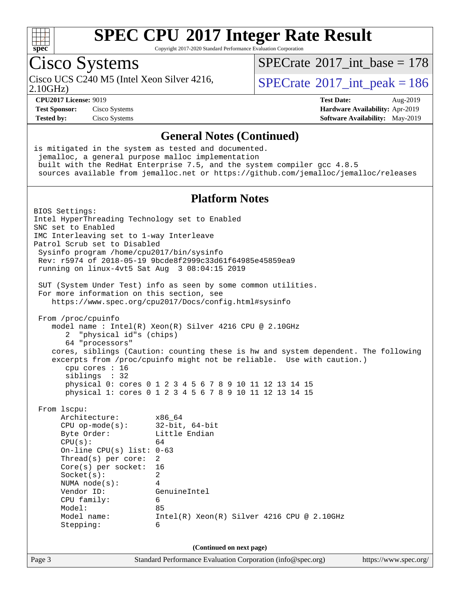

Copyright 2017-2020 Standard Performance Evaluation Corporation

## Cisco Systems

2.10GHz)

 $SPECTate$ <sup>®</sup>[2017\\_int\\_base =](http://www.spec.org/auto/cpu2017/Docs/result-fields.html#SPECrate2017intbase) 178

Cisco UCS C240 M5 (Intel Xeon Silver 4216,  $\vert$ [SPECrate](http://www.spec.org/auto/cpu2017/Docs/result-fields.html#SPECrate2017intpeak)<sup>®</sup>[2017\\_int\\_peak = 1](http://www.spec.org/auto/cpu2017/Docs/result-fields.html#SPECrate2017intpeak)86

**[Test Sponsor:](http://www.spec.org/auto/cpu2017/Docs/result-fields.html#TestSponsor)** Cisco Systems **[Hardware Availability:](http://www.spec.org/auto/cpu2017/Docs/result-fields.html#HardwareAvailability)** Apr-2019

**[CPU2017 License:](http://www.spec.org/auto/cpu2017/Docs/result-fields.html#CPU2017License)** 9019 **[Test Date:](http://www.spec.org/auto/cpu2017/Docs/result-fields.html#TestDate)** Aug-2019 **[Tested by:](http://www.spec.org/auto/cpu2017/Docs/result-fields.html#Testedby)** Cisco Systems **[Software Availability:](http://www.spec.org/auto/cpu2017/Docs/result-fields.html#SoftwareAvailability)** May-2019

#### **[General Notes \(Continued\)](http://www.spec.org/auto/cpu2017/Docs/result-fields.html#GeneralNotes)**

is mitigated in the system as tested and documented. jemalloc, a general purpose malloc implementation built with the RedHat Enterprise 7.5, and the system compiler gcc 4.8.5 sources available from jemalloc.net or <https://github.com/jemalloc/jemalloc/releases> **[Platform Notes](http://www.spec.org/auto/cpu2017/Docs/result-fields.html#PlatformNotes)** BIOS Settings: Intel HyperThreading Technology set to Enabled SNC set to Enabled IMC Interleaving set to 1-way Interleave Patrol Scrub set to Disabled Sysinfo program /home/cpu2017/bin/sysinfo Rev: r5974 of 2018-05-19 9bcde8f2999c33d61f64985e45859ea9 running on linux-4vt5 Sat Aug 3 08:04:15 2019 SUT (System Under Test) info as seen by some common utilities. For more information on this section, see <https://www.spec.org/cpu2017/Docs/config.html#sysinfo> From /proc/cpuinfo model name : Intel(R) Xeon(R) Silver 4216 CPU @ 2.10GHz 2 "physical id"s (chips) 64 "processors" cores, siblings (Caution: counting these is hw and system dependent. The following excerpts from /proc/cpuinfo might not be reliable. Use with caution.) cpu cores : 16 siblings : 32 physical 0: cores 0 1 2 3 4 5 6 7 8 9 10 11 12 13 14 15 physical 1: cores 0 1 2 3 4 5 6 7 8 9 10 11 12 13 14 15 From lscpu: Architecture: x86\_64 CPU op-mode(s): 32-bit, 64-bit Byte Order: Little Endian  $CPU(s):$  64 On-line CPU(s) list: 0-63 Thread(s) per core: 2 Core(s) per socket: 16 Socket(s): 2 NUMA node(s): 4 Vendor ID: GenuineIntel CPU family: 6 Model: 85 Model name: Intel(R) Xeon(R) Silver 4216 CPU @ 2.10GHz Stepping: 6 **(Continued on next page)**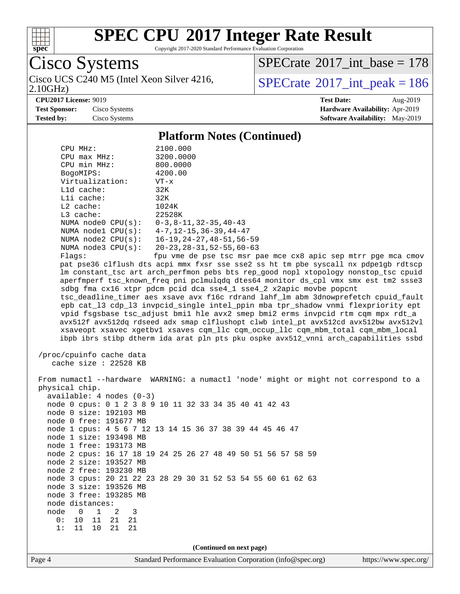

Copyright 2017-2020 Standard Performance Evaluation Corporation

Cisco Systems 2.10GHz) Cisco UCS C240 M5 (Intel Xeon Silver 4216,  $SPECrate^{\circ}2017\_int\_peak = 186$  $SPECrate^{\circ}2017\_int\_peak = 186$ 

 $SPECrate$ <sup>®</sup>[2017\\_int\\_base =](http://www.spec.org/auto/cpu2017/Docs/result-fields.html#SPECrate2017intbase) 178

**[CPU2017 License:](http://www.spec.org/auto/cpu2017/Docs/result-fields.html#CPU2017License)** 9019 **[Test Date:](http://www.spec.org/auto/cpu2017/Docs/result-fields.html#TestDate)** Aug-2019

**[Test Sponsor:](http://www.spec.org/auto/cpu2017/Docs/result-fields.html#TestSponsor)** Cisco Systems **[Hardware Availability:](http://www.spec.org/auto/cpu2017/Docs/result-fields.html#HardwareAvailability)** Apr-2019 **[Tested by:](http://www.spec.org/auto/cpu2017/Docs/result-fields.html#Testedby)** Cisco Systems **[Software Availability:](http://www.spec.org/auto/cpu2017/Docs/result-fields.html#SoftwareAvailability)** May-2019

**[Platform Notes \(Continued\)](http://www.spec.org/auto/cpu2017/Docs/result-fields.html#PlatformNotes)**

|                                                          | 1 RULUI III 1900 (Continuou)                                                         |  |  |  |  |
|----------------------------------------------------------|--------------------------------------------------------------------------------------|--|--|--|--|
| CPU MHz:                                                 | 2100.000                                                                             |  |  |  |  |
| CPU max MHz:                                             | 3200.0000                                                                            |  |  |  |  |
| CPU min MHz:                                             | 800.0000                                                                             |  |  |  |  |
| BogoMIPS:                                                | 4200.00                                                                              |  |  |  |  |
| Virtualization:                                          | $VT - x$                                                                             |  |  |  |  |
| Lld cache:                                               | 32K                                                                                  |  |  |  |  |
| Lli cache:                                               | 32K                                                                                  |  |  |  |  |
| $L2$ cache:                                              | 1024K                                                                                |  |  |  |  |
| L3 cache:                                                | 22528K                                                                               |  |  |  |  |
|                                                          | NUMA node0 CPU(s): 0-3,8-11,32-35,40-43                                              |  |  |  |  |
|                                                          | NUMA nodel CPU(s): 4-7, 12-15, 36-39, 44-47                                          |  |  |  |  |
| NUMA $node2$ $CPU(s):$                                   | 16–19,24–27,48–51,56–59                                                              |  |  |  |  |
|                                                          |                                                                                      |  |  |  |  |
| NUMA $node3$ $CPU(s):$                                   | 20-23, 28-31, 52-55, 60-63                                                           |  |  |  |  |
| Flags:                                                   | fpu vme de pse tsc msr pae mce cx8 apic sep mtrr pge mca cmov                        |  |  |  |  |
|                                                          | pat pse36 clflush dts acpi mmx fxsr sse sse2 ss ht tm pbe syscall nx pdpelgb rdtscp  |  |  |  |  |
|                                                          | lm constant_tsc art arch_perfmon pebs bts rep_good nopl xtopology nonstop_tsc cpuid  |  |  |  |  |
|                                                          | aperfmperf tsc_known_freq pni pclmulqdq dtes64 monitor ds_cpl vmx smx est tm2 ssse3  |  |  |  |  |
|                                                          | sdbg fma cx16 xtpr pdcm pcid dca sse4 1 sse4 2 x2apic movbe popcnt                   |  |  |  |  |
|                                                          | tsc_deadline_timer aes xsave avx f16c rdrand lahf_lm abm 3dnowprefetch cpuid_fault   |  |  |  |  |
|                                                          | epb cat_13 cdp_13 invpcid_single intel_ppin mba tpr_shadow vnmi flexpriority ept     |  |  |  |  |
|                                                          | vpid fsgsbase tsc_adjust bmil hle avx2 smep bmi2 erms invpcid rtm cqm mpx rdt_a      |  |  |  |  |
|                                                          | avx512f avx512dq rdseed adx smap clflushopt clwb intel_pt avx512cd avx512bw avx512vl |  |  |  |  |
|                                                          | xsaveopt xsavec xgetbvl xsaves cqm_llc cqm_occup_llc cqm_mbm_total cqm_mbm_local     |  |  |  |  |
|                                                          | ibpb ibrs stibp dtherm ida arat pln pts pku ospke avx512_vnni arch_capabilities ssbd |  |  |  |  |
|                                                          |                                                                                      |  |  |  |  |
| /proc/cpuinfo cache data                                 |                                                                                      |  |  |  |  |
| cache size : 22528 KB                                    |                                                                                      |  |  |  |  |
|                                                          |                                                                                      |  |  |  |  |
|                                                          | From numactl --hardware WARNING: a numactl 'node' might or might not correspond to a |  |  |  |  |
| physical chip.                                           |                                                                                      |  |  |  |  |
| $available: 4 nodes (0-3)$                               |                                                                                      |  |  |  |  |
| node 0 cpus: 0 1 2 3 8 9 10 11 32 33 34 35 40 41 42 43   |                                                                                      |  |  |  |  |
| node 0 size: 192103 MB                                   |                                                                                      |  |  |  |  |
| node 0 free: 191677 MB                                   |                                                                                      |  |  |  |  |
| node 1 cpus: 4 5 6 7 12 13 14 15 36 37 38 39 44 45 46 47 |                                                                                      |  |  |  |  |
|                                                          |                                                                                      |  |  |  |  |
| node 1 size: 193498 MB                                   |                                                                                      |  |  |  |  |
| node 1 free: 193173 MB                                   |                                                                                      |  |  |  |  |
|                                                          | node 2 cpus: 16 17 18 19 24 25 26 27 48 49 50 51 56 57 58 59                         |  |  |  |  |
| node 2 size: 193527 MB                                   |                                                                                      |  |  |  |  |
| node 2 free: 193230 MB                                   |                                                                                      |  |  |  |  |
|                                                          | node 3 cpus: 20 21 22 23 28 29 30 31 52 53 54 55 60 61 62 63                         |  |  |  |  |
| node 3 size: 193526 MB                                   |                                                                                      |  |  |  |  |
| node 3 free: 193285 MB                                   |                                                                                      |  |  |  |  |
| node distances:                                          |                                                                                      |  |  |  |  |
| node<br>0<br>$\mathbf{1}$<br>2<br>3                      |                                                                                      |  |  |  |  |
| 0:<br>10<br>11<br>21<br>21                               |                                                                                      |  |  |  |  |
| 1:<br>11<br>10<br>21<br>21                               |                                                                                      |  |  |  |  |
|                                                          |                                                                                      |  |  |  |  |
| (Continued on next page)                                 |                                                                                      |  |  |  |  |
|                                                          |                                                                                      |  |  |  |  |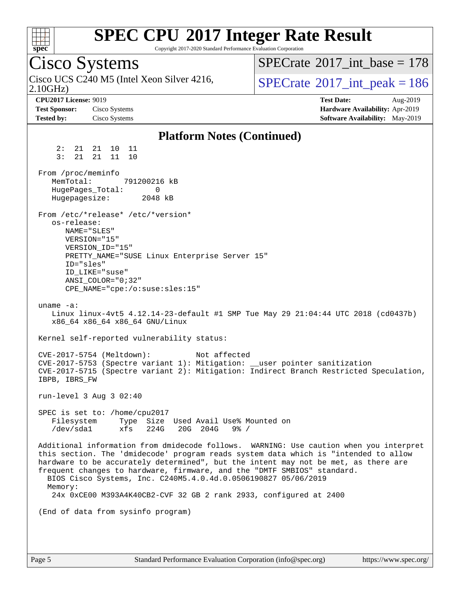

Copyright 2017-2020 Standard Performance Evaluation Corporation

# Cisco Systems

2.10GHz) Cisco UCS C240 M5 (Intel Xeon Silver 4216,  $\vert$ [SPECrate](http://www.spec.org/auto/cpu2017/Docs/result-fields.html#SPECrate2017intpeak)<sup>®</sup>[2017\\_int\\_peak = 1](http://www.spec.org/auto/cpu2017/Docs/result-fields.html#SPECrate2017intpeak)86

 $SPECTate$ <sup>®</sup>[2017\\_int\\_base =](http://www.spec.org/auto/cpu2017/Docs/result-fields.html#SPECrate2017intbase) 178

**[CPU2017 License:](http://www.spec.org/auto/cpu2017/Docs/result-fields.html#CPU2017License)** 9019 **[Test Date:](http://www.spec.org/auto/cpu2017/Docs/result-fields.html#TestDate)** Aug-2019 **[Test Sponsor:](http://www.spec.org/auto/cpu2017/Docs/result-fields.html#TestSponsor)** Cisco Systems **[Hardware Availability:](http://www.spec.org/auto/cpu2017/Docs/result-fields.html#HardwareAvailability)** Apr-2019 **[Tested by:](http://www.spec.org/auto/cpu2017/Docs/result-fields.html#Testedby)** Cisco Systems **[Software Availability:](http://www.spec.org/auto/cpu2017/Docs/result-fields.html#SoftwareAvailability)** May-2019

#### **[Platform Notes \(Continued\)](http://www.spec.org/auto/cpu2017/Docs/result-fields.html#PlatformNotes)** 2: 21 21 10 11 3: 21 21 11 10 From /proc/meminfo MemTotal: 791200216 kB HugePages\_Total: 0 Hugepagesize: 2048 kB From /etc/\*release\* /etc/\*version\* os-release: NAME="SLES" VERSION="15" VERSION\_ID="15" PRETTY\_NAME="SUSE Linux Enterprise Server 15" ID="sles" ID\_LIKE="suse" ANSI\_COLOR="0;32" CPE\_NAME="cpe:/o:suse:sles:15" uname -a: Linux linux-4vt5 4.12.14-23-default #1 SMP Tue May 29 21:04:44 UTC 2018 (cd0437b) x86\_64 x86\_64 x86\_64 GNU/Linux Kernel self-reported vulnerability status: CVE-2017-5754 (Meltdown): Not affected CVE-2017-5753 (Spectre variant 1): Mitigation: \_\_user pointer sanitization CVE-2017-5715 (Spectre variant 2): Mitigation: Indirect Branch Restricted Speculation, IBPB, IBRS\_FW run-level 3 Aug 3 02:40 SPEC is set to: /home/cpu2017 Filesystem Type Size Used Avail Use% Mounted on /dev/sda1 xfs 224G 20G 204G 9% / Additional information from dmidecode follows. WARNING: Use caution when you interpret this section. The 'dmidecode' program reads system data which is "intended to allow hardware to be accurately determined", but the intent may not be met, as there are frequent changes to hardware, firmware, and the "DMTF SMBIOS" standard. BIOS Cisco Systems, Inc. C240M5.4.0.4d.0.0506190827 05/06/2019 Memory: 24x 0xCE00 M393A4K40CB2-CVF 32 GB 2 rank 2933, configured at 2400 (End of data from sysinfo program)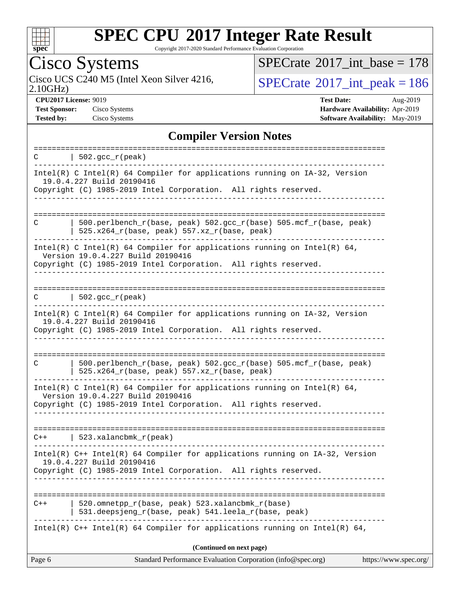

Copyright 2017-2020 Standard Performance Evaluation Corporation

# Cisco Systems<br>Cisco UCS C240 M5 (Intel Xeon Silver 4216,

2.10GHz)

 $SPECrate$ <sup>®</sup>[2017\\_int\\_base =](http://www.spec.org/auto/cpu2017/Docs/result-fields.html#SPECrate2017intbase) 178

 $SPECTate$ <sup>®</sup>[2017\\_int\\_peak = 1](http://www.spec.org/auto/cpu2017/Docs/result-fields.html#SPECrate2017intpeak)86

**[CPU2017 License:](http://www.spec.org/auto/cpu2017/Docs/result-fields.html#CPU2017License)** 9019 **[Test Date:](http://www.spec.org/auto/cpu2017/Docs/result-fields.html#TestDate)** Aug-2019 **[Test Sponsor:](http://www.spec.org/auto/cpu2017/Docs/result-fields.html#TestSponsor)** Cisco Systems **[Hardware Availability:](http://www.spec.org/auto/cpu2017/Docs/result-fields.html#HardwareAvailability)** Apr-2019 **[Tested by:](http://www.spec.org/auto/cpu2017/Docs/result-fields.html#Testedby)** Cisco Systems **[Software Availability:](http://www.spec.org/auto/cpu2017/Docs/result-fields.html#SoftwareAvailability)** May-2019

#### **[Compiler Version Notes](http://www.spec.org/auto/cpu2017/Docs/result-fields.html#CompilerVersionNotes)**

| C      | $  502.\text{sec}_r(\text{peak})$                                                                                                                                                 |                       |
|--------|-----------------------------------------------------------------------------------------------------------------------------------------------------------------------------------|-----------------------|
|        | Intel(R) C Intel(R) 64 Compiler for applications running on $IA-32$ , Version<br>19.0.4.227 Build 20190416<br>Copyright (C) 1985-2019 Intel Corporation. All rights reserved.     |                       |
| C      | $500.perlbench_r(base, peak) 502.sec_r(base) 505.mcf_r(base, peak)$<br>525.x264_r(base, peak) 557.xz_r(base, peak)                                                                |                       |
|        | Intel(R) C Intel(R) 64 Compiler for applications running on Intel(R) 64,<br>Version 19.0.4.227 Build 20190416<br>Copyright (C) 1985-2019 Intel Corporation. All rights reserved.  |                       |
| C      | $\vert$ 502.gcc_r(peak)                                                                                                                                                           |                       |
|        | Intel(R) C Intel(R) 64 Compiler for applications running on IA-32, Version<br>19.0.4.227 Build 20190416<br>Copyright (C) 1985-2019 Intel Corporation. All rights reserved.<br>.   |                       |
| C      | 500.perlbench_r(base, peak) 502.gcc_r(base) 505.mcf_r(base, peak)<br>525.x264_r(base, peak) 557.xz_r(base, peak)                                                                  |                       |
|        | Intel(R) C Intel(R) 64 Compiler for applications running on Intel(R) 64,<br>Version 19.0.4.227 Build 20190416<br>Copyright (C) 1985-2019 Intel Corporation. All rights reserved.  |                       |
|        | $C++$   523.xalancbmk_r(peak)                                                                                                                                                     |                       |
|        | Intel(R) $C++$ Intel(R) 64 Compiler for applications running on $IA-32$ , Version<br>19.0.4.227 Build 20190416<br>Copyright (C) 1985-2019 Intel Corporation. All rights reserved. |                       |
| $C++$  | 520.omnetpp_r(base, peak) 523.xalancbmk_r(base)<br>531.deepsjeng_r(base, peak) 541.leela_r(base, peak)                                                                            |                       |
|        | Intel(R) $C++$ Intel(R) 64 Compiler for applications running on Intel(R) 64,                                                                                                      |                       |
| Page 6 | (Continued on next page)<br>Standard Performance Evaluation Corporation (info@spec.org)                                                                                           | https://www.spec.org/ |
|        |                                                                                                                                                                                   |                       |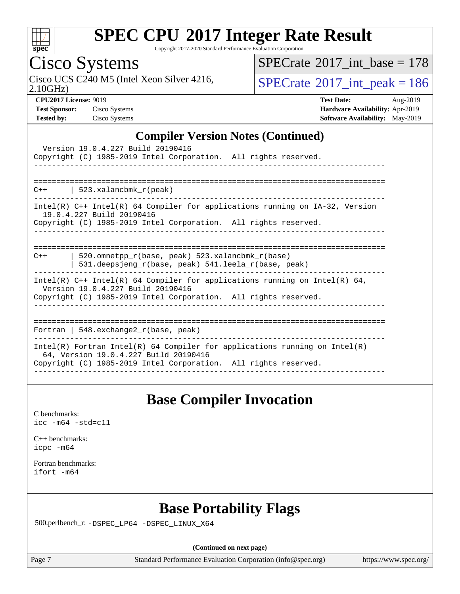

Copyright 2017-2020 Standard Performance Evaluation Corporation

### Cisco Systems

 $SPECrate$ <sup>®</sup>[2017\\_int\\_base =](http://www.spec.org/auto/cpu2017/Docs/result-fields.html#SPECrate2017intbase) 178

Cisco UCS C240 M5 (Intel Xeon Silver 4216,  $SPECrate^{\circ}2017\_int\_peak = 186$  $SPECrate^{\circ}2017\_int\_peak = 186$ 

2.10GHz)

| <b>Test Sponsor:</b> | Cisco Syster |
|----------------------|--------------|
| Tested by:           | Cisco Syster |

**[CPU2017 License:](http://www.spec.org/auto/cpu2017/Docs/result-fields.html#CPU2017License)** 9019 **[Test Date:](http://www.spec.org/auto/cpu2017/Docs/result-fields.html#TestDate)** Aug-2019 **[Test Sponsor:](http://www.spec.org/auto/cpu2017/Docs/result-fields.html#TestSponsor)** Cisco Systems **[Hardware Availability:](http://www.spec.org/auto/cpu2017/Docs/result-fields.html#HardwareAvailability)** Apr-2019 **[Tested by:](http://www.spec.org/auto/cpu2017/Docs/result-fields.html#Testedby)** Cisco Systems **[Software Availability:](http://www.spec.org/auto/cpu2017/Docs/result-fields.html#SoftwareAvailability)** May-2019

#### **[Compiler Version Notes \(Continued\)](http://www.spec.org/auto/cpu2017/Docs/result-fields.html#CompilerVersionNotes)**

| Version 19.0.4.227 Build 20190416<br>Copyright (C) 1985-2019 Intel Corporation. All rights reserved.                                                                                   |
|----------------------------------------------------------------------------------------------------------------------------------------------------------------------------------------|
| $C++$   523.xalancbmk $r(\text{peak})$                                                                                                                                                 |
| Intel(R) C++ Intel(R) 64 Compiler for applications running on IA-32, Version<br>19.0.4.227 Build 20190416<br>Copyright (C) 1985-2019 Intel Corporation. All rights reserved.           |
| 520.omnetpp $r(base, peak)$ 523.xalancbmk $r(base)$<br>$C++$<br>531.deepsjeng_r(base, peak) 541.leela_r(base, peak)                                                                    |
| Intel(R) $C++$ Intel(R) 64 Compiler for applications running on Intel(R) 64,<br>Version 19.0.4.227 Build 20190416<br>Copyright (C) 1985-2019 Intel Corporation. All rights reserved.   |
| Fortran   548. $exchange2 r(base, peak)$                                                                                                                                               |
| Intel(R) Fortran Intel(R) 64 Compiler for applications running on Intel(R)<br>64, Version 19.0.4.227 Build 20190416<br>Copyright (C) 1985-2019 Intel Corporation. All rights reserved. |

### **[Base Compiler Invocation](http://www.spec.org/auto/cpu2017/Docs/result-fields.html#BaseCompilerInvocation)**

[C benchmarks](http://www.spec.org/auto/cpu2017/Docs/result-fields.html#Cbenchmarks): [icc -m64 -std=c11](http://www.spec.org/cpu2017/results/res2019q3/cpu2017-20190806-16742.flags.html#user_CCbase_intel_icc_64bit_c11_33ee0cdaae7deeeab2a9725423ba97205ce30f63b9926c2519791662299b76a0318f32ddfffdc46587804de3178b4f9328c46fa7c2b0cd779d7a61945c91cd35)

[C++ benchmarks:](http://www.spec.org/auto/cpu2017/Docs/result-fields.html#CXXbenchmarks) [icpc -m64](http://www.spec.org/cpu2017/results/res2019q3/cpu2017-20190806-16742.flags.html#user_CXXbase_intel_icpc_64bit_4ecb2543ae3f1412ef961e0650ca070fec7b7afdcd6ed48761b84423119d1bf6bdf5cad15b44d48e7256388bc77273b966e5eb805aefd121eb22e9299b2ec9d9)

[Fortran benchmarks](http://www.spec.org/auto/cpu2017/Docs/result-fields.html#Fortranbenchmarks): [ifort -m64](http://www.spec.org/cpu2017/results/res2019q3/cpu2017-20190806-16742.flags.html#user_FCbase_intel_ifort_64bit_24f2bb282fbaeffd6157abe4f878425411749daecae9a33200eee2bee2fe76f3b89351d69a8130dd5949958ce389cf37ff59a95e7a40d588e8d3a57e0c3fd751)

### **[Base Portability Flags](http://www.spec.org/auto/cpu2017/Docs/result-fields.html#BasePortabilityFlags)**

500.perlbench\_r: [-DSPEC\\_LP64](http://www.spec.org/cpu2017/results/res2019q3/cpu2017-20190806-16742.flags.html#b500.perlbench_r_basePORTABILITY_DSPEC_LP64) [-DSPEC\\_LINUX\\_X64](http://www.spec.org/cpu2017/results/res2019q3/cpu2017-20190806-16742.flags.html#b500.perlbench_r_baseCPORTABILITY_DSPEC_LINUX_X64)

**(Continued on next page)**

Page 7 Standard Performance Evaluation Corporation [\(info@spec.org\)](mailto:info@spec.org) <https://www.spec.org/>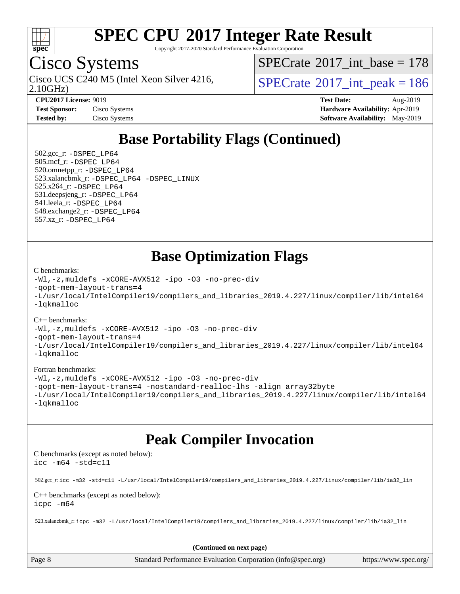

Copyright 2017-2020 Standard Performance Evaluation Corporation

### Cisco Systems

2.10GHz) Cisco UCS C240 M5 (Intel Xeon Silver 4216,  $SPECrate^{\circ}2017\_int\_peak = 186$  $SPECrate^{\circ}2017\_int\_peak = 186$ 

 $SPECTate@2017_int\_base = 178$ 

**[Tested by:](http://www.spec.org/auto/cpu2017/Docs/result-fields.html#Testedby)** Cisco Systems **[Software Availability:](http://www.spec.org/auto/cpu2017/Docs/result-fields.html#SoftwareAvailability)** May-2019

**[CPU2017 License:](http://www.spec.org/auto/cpu2017/Docs/result-fields.html#CPU2017License)** 9019 **[Test Date:](http://www.spec.org/auto/cpu2017/Docs/result-fields.html#TestDate)** Aug-2019 **[Test Sponsor:](http://www.spec.org/auto/cpu2017/Docs/result-fields.html#TestSponsor)** Cisco Systems **[Hardware Availability:](http://www.spec.org/auto/cpu2017/Docs/result-fields.html#HardwareAvailability)** Apr-2019

### **[Base Portability Flags \(Continued\)](http://www.spec.org/auto/cpu2017/Docs/result-fields.html#BasePortabilityFlags)**

 502.gcc\_r: [-DSPEC\\_LP64](http://www.spec.org/cpu2017/results/res2019q3/cpu2017-20190806-16742.flags.html#suite_basePORTABILITY502_gcc_r_DSPEC_LP64) 505.mcf\_r: [-DSPEC\\_LP64](http://www.spec.org/cpu2017/results/res2019q3/cpu2017-20190806-16742.flags.html#suite_basePORTABILITY505_mcf_r_DSPEC_LP64) 520.omnetpp\_r: [-DSPEC\\_LP64](http://www.spec.org/cpu2017/results/res2019q3/cpu2017-20190806-16742.flags.html#suite_basePORTABILITY520_omnetpp_r_DSPEC_LP64) 523.xalancbmk\_r: [-DSPEC\\_LP64](http://www.spec.org/cpu2017/results/res2019q3/cpu2017-20190806-16742.flags.html#suite_basePORTABILITY523_xalancbmk_r_DSPEC_LP64) [-DSPEC\\_LINUX](http://www.spec.org/cpu2017/results/res2019q3/cpu2017-20190806-16742.flags.html#b523.xalancbmk_r_baseCXXPORTABILITY_DSPEC_LINUX) 525.x264\_r: [-DSPEC\\_LP64](http://www.spec.org/cpu2017/results/res2019q3/cpu2017-20190806-16742.flags.html#suite_basePORTABILITY525_x264_r_DSPEC_LP64) 531.deepsjeng\_r: [-DSPEC\\_LP64](http://www.spec.org/cpu2017/results/res2019q3/cpu2017-20190806-16742.flags.html#suite_basePORTABILITY531_deepsjeng_r_DSPEC_LP64) 541.leela\_r: [-DSPEC\\_LP64](http://www.spec.org/cpu2017/results/res2019q3/cpu2017-20190806-16742.flags.html#suite_basePORTABILITY541_leela_r_DSPEC_LP64) 548.exchange2\_r: [-DSPEC\\_LP64](http://www.spec.org/cpu2017/results/res2019q3/cpu2017-20190806-16742.flags.html#suite_basePORTABILITY548_exchange2_r_DSPEC_LP64) 557.xz\_r: [-DSPEC\\_LP64](http://www.spec.org/cpu2017/results/res2019q3/cpu2017-20190806-16742.flags.html#suite_basePORTABILITY557_xz_r_DSPEC_LP64)

### **[Base Optimization Flags](http://www.spec.org/auto/cpu2017/Docs/result-fields.html#BaseOptimizationFlags)**

#### [C benchmarks](http://www.spec.org/auto/cpu2017/Docs/result-fields.html#Cbenchmarks):

```
-Wl,-z,muldefs -xCORE-AVX512 -ipo -O3 -no-prec-div
-qopt-mem-layout-trans=4
-L/usr/local/IntelCompiler19/compilers_and_libraries_2019.4.227/linux/compiler/lib/intel64
-lqkmalloc
```
#### [C++ benchmarks](http://www.spec.org/auto/cpu2017/Docs/result-fields.html#CXXbenchmarks):

```
-Wl,-z,muldefs -xCORE-AVX512 -ipo -O3 -no-prec-div
-qopt-mem-layout-trans=4
-L/usr/local/IntelCompiler19/compilers_and_libraries_2019.4.227/linux/compiler/lib/intel64
-lqkmalloc
```
#### [Fortran benchmarks](http://www.spec.org/auto/cpu2017/Docs/result-fields.html#Fortranbenchmarks):

```
-Wl,-z,muldefs -xCORE-AVX512 -ipo -O3 -no-prec-div
-qopt-mem-layout-trans=4 -nostandard-realloc-lhs -align array32byte
-L/usr/local/IntelCompiler19/compilers_and_libraries_2019.4.227/linux/compiler/lib/intel64
-lqkmalloc
```
### **[Peak Compiler Invocation](http://www.spec.org/auto/cpu2017/Docs/result-fields.html#PeakCompilerInvocation)**

[C benchmarks \(except as noted below\)](http://www.spec.org/auto/cpu2017/Docs/result-fields.html#Cbenchmarksexceptasnotedbelow): [icc -m64 -std=c11](http://www.spec.org/cpu2017/results/res2019q3/cpu2017-20190806-16742.flags.html#user_CCpeak_intel_icc_64bit_c11_33ee0cdaae7deeeab2a9725423ba97205ce30f63b9926c2519791662299b76a0318f32ddfffdc46587804de3178b4f9328c46fa7c2b0cd779d7a61945c91cd35)

502.gcc\_r: [icc -m32 -std=c11 -L/usr/local/IntelCompiler19/compilers\\_and\\_libraries\\_2019.4.227/linux/compiler/lib/ia32\\_lin](http://www.spec.org/cpu2017/results/res2019q3/cpu2017-20190806-16742.flags.html#user_peakCCLD502_gcc_r_intel_icc_38a193a897536fa645efb1dc6ac2bea2bddbbe56f130e144a606d1b2649003f27c79f8814020c1f9355cbbf0d7ab0d194a7a979ee1e2a95641bbb8cf571aac7b)

#### [C++ benchmarks \(except as noted below\)](http://www.spec.org/auto/cpu2017/Docs/result-fields.html#CXXbenchmarksexceptasnotedbelow): [icpc -m64](http://www.spec.org/cpu2017/results/res2019q3/cpu2017-20190806-16742.flags.html#user_CXXpeak_intel_icpc_64bit_4ecb2543ae3f1412ef961e0650ca070fec7b7afdcd6ed48761b84423119d1bf6bdf5cad15b44d48e7256388bc77273b966e5eb805aefd121eb22e9299b2ec9d9)

523.xalancbmk\_r: [icpc -m32 -L/usr/local/IntelCompiler19/compilers\\_and\\_libraries\\_2019.4.227/linux/compiler/lib/ia32\\_lin](http://www.spec.org/cpu2017/results/res2019q3/cpu2017-20190806-16742.flags.html#user_peakCXXLD523_xalancbmk_r_intel_icpc_840f965b38320ad10acba6032d6ca4c816e722c432c250f3408feae347068ba449f694544a48cf12cd3bde3495e328e6747ab0f629c2925d3062e2ee144af951)

**(Continued on next page)**

Page 8 Standard Performance Evaluation Corporation [\(info@spec.org\)](mailto:info@spec.org) <https://www.spec.org/>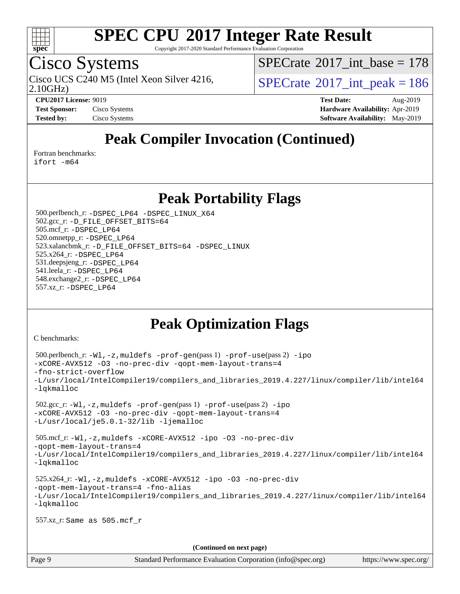

Copyright 2017-2020 Standard Performance Evaluation Corporation

## Cisco Systems

2.10GHz)

 $SPECTate@2017_int\_base = 178$ 

Cisco UCS C240 M5 (Intel Xeon Silver 4216,  $\vert$ [SPECrate](http://www.spec.org/auto/cpu2017/Docs/result-fields.html#SPECrate2017intpeak)<sup>®</sup>[2017\\_int\\_peak = 1](http://www.spec.org/auto/cpu2017/Docs/result-fields.html#SPECrate2017intpeak)86

**[CPU2017 License:](http://www.spec.org/auto/cpu2017/Docs/result-fields.html#CPU2017License)** 9019 **[Test Date:](http://www.spec.org/auto/cpu2017/Docs/result-fields.html#TestDate)** Aug-2019 **[Test Sponsor:](http://www.spec.org/auto/cpu2017/Docs/result-fields.html#TestSponsor)** Cisco Systems **[Hardware Availability:](http://www.spec.org/auto/cpu2017/Docs/result-fields.html#HardwareAvailability)** Apr-2019 **[Tested by:](http://www.spec.org/auto/cpu2017/Docs/result-fields.html#Testedby)** Cisco Systems **Cisco Systems [Software Availability:](http://www.spec.org/auto/cpu2017/Docs/result-fields.html#SoftwareAvailability)** May-2019

### **[Peak Compiler Invocation \(Continued\)](http://www.spec.org/auto/cpu2017/Docs/result-fields.html#PeakCompilerInvocation)**

[Fortran benchmarks](http://www.spec.org/auto/cpu2017/Docs/result-fields.html#Fortranbenchmarks):

[ifort -m64](http://www.spec.org/cpu2017/results/res2019q3/cpu2017-20190806-16742.flags.html#user_FCpeak_intel_ifort_64bit_24f2bb282fbaeffd6157abe4f878425411749daecae9a33200eee2bee2fe76f3b89351d69a8130dd5949958ce389cf37ff59a95e7a40d588e8d3a57e0c3fd751)

### **[Peak Portability Flags](http://www.spec.org/auto/cpu2017/Docs/result-fields.html#PeakPortabilityFlags)**

 500.perlbench\_r: [-DSPEC\\_LP64](http://www.spec.org/cpu2017/results/res2019q3/cpu2017-20190806-16742.flags.html#b500.perlbench_r_peakPORTABILITY_DSPEC_LP64) [-DSPEC\\_LINUX\\_X64](http://www.spec.org/cpu2017/results/res2019q3/cpu2017-20190806-16742.flags.html#b500.perlbench_r_peakCPORTABILITY_DSPEC_LINUX_X64) 502.gcc\_r: [-D\\_FILE\\_OFFSET\\_BITS=64](http://www.spec.org/cpu2017/results/res2019q3/cpu2017-20190806-16742.flags.html#user_peakPORTABILITY502_gcc_r_file_offset_bits_64_5ae949a99b284ddf4e95728d47cb0843d81b2eb0e18bdfe74bbf0f61d0b064f4bda2f10ea5eb90e1dcab0e84dbc592acfc5018bc955c18609f94ddb8d550002c) 505.mcf\_r: [-DSPEC\\_LP64](http://www.spec.org/cpu2017/results/res2019q3/cpu2017-20190806-16742.flags.html#suite_peakPORTABILITY505_mcf_r_DSPEC_LP64) 520.omnetpp\_r: [-DSPEC\\_LP64](http://www.spec.org/cpu2017/results/res2019q3/cpu2017-20190806-16742.flags.html#suite_peakPORTABILITY520_omnetpp_r_DSPEC_LP64) 523.xalancbmk\_r: [-D\\_FILE\\_OFFSET\\_BITS=64](http://www.spec.org/cpu2017/results/res2019q3/cpu2017-20190806-16742.flags.html#user_peakPORTABILITY523_xalancbmk_r_file_offset_bits_64_5ae949a99b284ddf4e95728d47cb0843d81b2eb0e18bdfe74bbf0f61d0b064f4bda2f10ea5eb90e1dcab0e84dbc592acfc5018bc955c18609f94ddb8d550002c) [-DSPEC\\_LINUX](http://www.spec.org/cpu2017/results/res2019q3/cpu2017-20190806-16742.flags.html#b523.xalancbmk_r_peakCXXPORTABILITY_DSPEC_LINUX) 525.x264\_r: [-DSPEC\\_LP64](http://www.spec.org/cpu2017/results/res2019q3/cpu2017-20190806-16742.flags.html#suite_peakPORTABILITY525_x264_r_DSPEC_LP64) 531.deepsjeng\_r: [-DSPEC\\_LP64](http://www.spec.org/cpu2017/results/res2019q3/cpu2017-20190806-16742.flags.html#suite_peakPORTABILITY531_deepsjeng_r_DSPEC_LP64) 541.leela\_r: [-DSPEC\\_LP64](http://www.spec.org/cpu2017/results/res2019q3/cpu2017-20190806-16742.flags.html#suite_peakPORTABILITY541_leela_r_DSPEC_LP64) 548.exchange2\_r: [-DSPEC\\_LP64](http://www.spec.org/cpu2017/results/res2019q3/cpu2017-20190806-16742.flags.html#suite_peakPORTABILITY548_exchange2_r_DSPEC_LP64) 557.xz\_r: [-DSPEC\\_LP64](http://www.spec.org/cpu2017/results/res2019q3/cpu2017-20190806-16742.flags.html#suite_peakPORTABILITY557_xz_r_DSPEC_LP64)

### **[Peak Optimization Flags](http://www.spec.org/auto/cpu2017/Docs/result-fields.html#PeakOptimizationFlags)**

[C benchmarks](http://www.spec.org/auto/cpu2017/Docs/result-fields.html#Cbenchmarks):

```
(info@spec.org)https://www.spec.org/
  500.perlbench_r: -Wl,-z,muldefs -prof-gen(pass 1) -prof-use(pass 2) -ipo
-xCORE-AVX512 -O3 -no-prec-div -qopt-mem-layout-trans=4
-fno-strict-overflow
-L/usr/local/IntelCompiler19/compilers_and_libraries_2019.4.227/linux/compiler/lib/intel64
-lqkmalloc
  502.gcc_r: -Wl,-z,muldefs -prof-gen(pass 1) -prof-use(pass 2) -ipo
-xCORE-AVX512 -O3 -no-prec-div -qopt-mem-layout-trans=4
-L/usr/local/je5.0.1-32/lib -ljemalloc
  505.mcf_r: -Wl,-z,muldefs -xCORE-AVX512 -ipo -O3 -no-prec-div
-qopt-mem-layout-trans=4
-L/usr/local/IntelCompiler19/compilers_and_libraries_2019.4.227/linux/compiler/lib/intel64
-lqkmalloc
  525.x264_r: -Wl,-z,muldefs -xCORE-AVX512 -ipo -O3 -no-prec-div
-qopt-mem-layout-trans=4 -fno-alias
-L/usr/local/IntelCompiler19/compilers_and_libraries_2019.4.227/linux/compiler/lib/intel64
-lqkmalloc
  557.xz_r: Same as 505.mcf_r
                                    (Continued on next page)
```